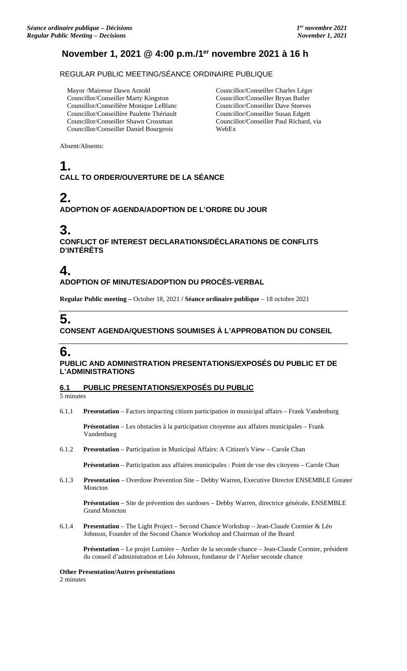### **November 1, 2021 @ 4:00 p.m./1er novembre 2021 à 16 h**

REGULAR PUBLIC MEETING/SÉANCE ORDINAIRE PUBLIQUE

Mayor /Mairesse Dawn Arnold Councillor/Conseiller Marty Kingston Counsillor/Conseillère Monique LeBlanc Councillor/Conseillère Paulette Thériault Councillor/Conseiller Shawn Crossman Councillor/Conseiller Daniel Bourgeois

Councillor/Conseiller Charles Léger Councillor/Conseiller Bryan Butler Councillor/Conseiller Dave Steeves Councillor/Conseiller Susan Edgett Councillor/Conseiller Paul Richard, via WebEx

Absent/Absents:

### **1. CALL TO ORDER/OUVERTURE DE LA SÉANCE**

# **2.**

### **ADOPTION OF AGENDA/ADOPTION DE L'ORDRE DU JOUR**

# **3.**

**CONFLICT OF INTEREST DECLARATIONS/DÉCLARATIONS DE CONFLITS D'INTÉRÊTS**

# **4.**

### **ADOPTION OF MINUTES/ADOPTION DU PROCÈS-VERBAL**

**Regular Public meeting –** October 18, 2021 **/ Séance ordinaire publique** – 18 octobre 2021

# **5.**

### **CONSENT AGENDA/QUESTIONS SOUMISES À L'APPROBATION DU CONSEIL**

# **6.**

### **PUBLIC AND ADMINISTRATION PRESENTATIONS/EXPOSÉS DU PUBLIC ET DE L'ADMINISTRATIONS**

### **6.1 PUBLIC PRESENTATIONS/EXPOSÉS DU PUBLIC**

5 minutes

6.1.1 **Presentation** – Factors impacting citizen participation in municipal affairs – Frank Vandenburg

**Présentation** – Les obstacles à la participation citoyenne aux affaires municipales – Frank Vandenburg

6.1.2 **Presentation** – Participation in Municipal Affairs: A Citizen's View – Carole Chan

**Présentation** – Participation aux affaires municipales : Point de vue des citoyens – Carole Chan

6.1.3 **Presentation** – Overdose Prevention Site – Debby Warren, Executive Director ENSEMBLE Greater Moncton

**Présentation** – Site de prévention des surdoses – Debby Warren, directrice générale, ENSEMBLE Grand Moncton

6.1.4 **Presentation** – The Light Project – Second Chance Workshop – Jean-Claude Cormier & Léo Johnson, Founder of the Second Chance Workshop and Chairman of the Board

**Présentation** – Le projet Lumière – Atelier de la seconde chance – Jean-Claude Cormier, président du conseil d'administration et Léo Johnson, fondateur de l'Atelier seconde chance

#### **Other Presentation/Autres présentations**

2 minutes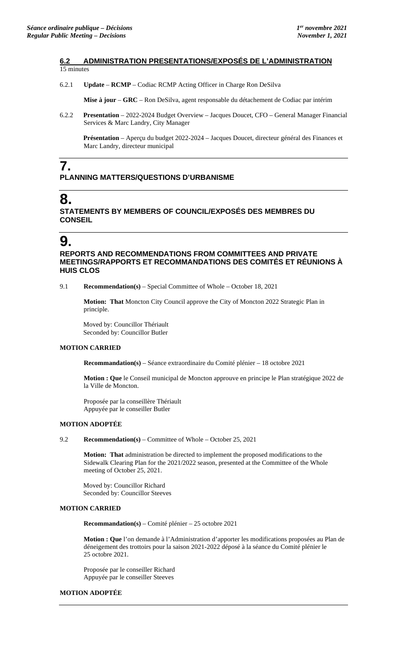#### **6.2 ADMINISTRATION PRESENTATIONS/EXPOSÉS DE L'ADMINISTRATION**  15 minutes

6.2.1 **Update** – **RCMP** – Codiac RCMP Acting Officer in Charge Ron DeSilva

**Mise à jour** – **GRC** – Ron DeSilva, agent responsable du détachement de Codiac par intérim

6.2.2 **Presentation** – 2022-2024 Budget Overview – Jacques Doucet, CFO – General Manager Financial Services & Marc Landry, City Manager

**Présentation** – Aperçu du budget 2022-2024 – Jacques Doucet, directeur général des Finances et Marc Landry, directeur municipal

# **7.**

### **PLANNING MATTERS/QUESTIONS D'URBANISME**

# **8.**

**STATEMENTS BY MEMBERS OF COUNCIL/EXPOSÉS DES MEMBRES DU CONSEIL**

# **9.**

**REPORTS AND RECOMMENDATIONS FROM COMMITTEES AND PRIVATE MEETINGS/RAPPORTS ET RECOMMANDATIONS DES COMITÉS ET RÉUNIONS À HUIS CLOS**

9.1 **Recommendation(s)** – Special Committee of Whole – October 18, 2021

**Motion: That** Moncton City Council approve the City of Moncton 2022 Strategic Plan in principle.

Moved by: Councillor Thériault Seconded by: Councillor Butler

### **MOTION CARRIED**

**Recommandation(s)** – Séance extraordinaire du Comité plénier – 18 octobre 2021

**Motion : Que** le Conseil municipal de Moncton approuve en principe le Plan stratégique 2022 de la Ville de Moncton.

Proposée par la conseillère Thériault Appuyée par le conseiller Butler

### **MOTION ADOPTÉE**

9.2 **Recommendation(s)** – Committee of Whole – October 25, 2021

**Motion: That** administration be directed to implement the proposed modifications to the Sidewalk Clearing Plan for the 2021/2022 season, presented at the Committee of the Whole meeting of October 25, 2021.

Moved by: Councillor Richard Seconded by: Councillor Steeves

### **MOTION CARRIED**

**Recommandation(s)** – Comité plénier – 25 octobre 2021

**Motion : Que** l'on demande à l'Administration d'apporter les modifications proposées au Plan de déneigement des trottoirs pour la saison 2021-2022 déposé à la séance du Comité plénier le 25 octobre 2021.

Proposée par le conseiller Richard Appuyée par le conseiller Steeves

#### **MOTION ADOPTÉE**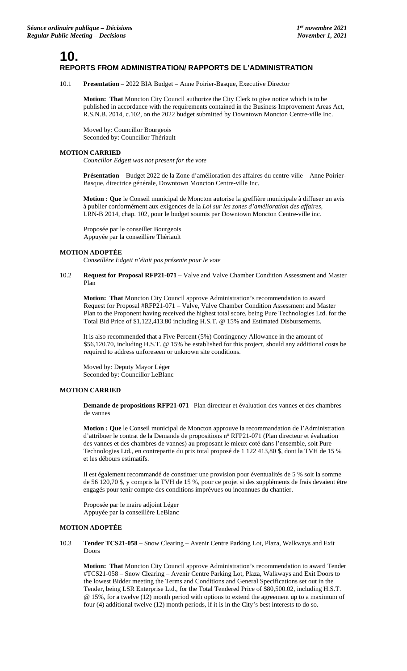### **10. REPORTS FROM ADMINISTRATION/ RAPPORTS DE L'ADMINISTRATION**

10.1 **Presentation** – 2022 BIA Budget – Anne Poirier-Basque, Executive Director

**Motion: That** Moncton City Council authorize the City Clerk to give notice which is to be published in accordance with the requirements contained in the Business Improvement Areas Act, R.S.N.B. 2014, c.102, on the 2022 budget submitted by Downtown Moncton Centre-ville Inc.

Moved by: Councillor Bourgeois Seconded by: Councillor Thériault

#### **MOTION CARRIED**

*Councillor Edgett was not present for the vote*

**Présentation** – Budget 2022 de la Zone d'amélioration des affaires du centre-ville – Anne Poirier-Basque, directrice générale, Downtown Moncton Centre-ville Inc.

**Motion : Que** le Conseil municipal de Moncton autorise la greffière municipale à diffuser un avis à publier conformément aux exigences de la *Loi sur les zones d'amélioration des affaires*, LRN-B 2014, chap. 102, pour le budget soumis par Downtown Moncton Centre-ville inc.

Proposée par le conseiller Bourgeois Appuyée par la conseillère Thériault

#### **MOTION ADOPTÉE**

*Conseillère Edgett n'était pas présente pour le vote*

#### 10.2 **Request for Proposal RFP21-071** – Valve and Valve Chamber Condition Assessment and Master Plan

**Motion: That** Moncton City Council approve Administration's recommendation to award Request for Proposal #RFP21-071 – Valve, Valve Chamber Condition Assessment and Master Plan to the Proponent having received the highest total score, being Pure Technologies Ltd. for the Total Bid Price of \$1,122,413.80 including H.S.T. @ 15% and Estimated Disbursements.

It is also recommended that a Five Percent (5%) Contingency Allowance in the amount of \$56,120.70, including H.S.T. @ 15% be established for this project, should any additional costs be required to address unforeseen or unknown site conditions.

Moved by: Deputy Mayor Léger Seconded by: Councillor LeBlanc

#### **MOTION CARRIED**

**Demande de propositions RFP21-071** –Plan directeur et évaluation des vannes et des chambres de vannes

**Motion : Que** le Conseil municipal de Moncton approuve la recommandation de l'Administration d'attribuer le contrat de la Demande de propositions n° RFP21-071 (Plan directeur et évaluation des vannes et des chambres de vannes) au proposant le mieux coté dans l'ensemble, soit Pure Technologies Ltd., en contrepartie du prix total proposé de 1 122 413,80 \$, dont la TVH de 15 % et les débours estimatifs.

Il est également recommandé de constituer une provision pour éventualités de 5 % soit la somme de 56 120,70 \$, y compris la TVH de 15 %, pour ce projet si des suppléments de frais devaient être engagés pour tenir compte des conditions imprévues ou inconnues du chantier.

Proposée par le maire adjoint Léger Appuyée par la conseillère LeBlanc

#### **MOTION ADOPTÉE**

10.3 **Tender TCS21-058** – Snow Clearing – Avenir Centre Parking Lot, Plaza, Walkways and Exit Doors

**Motion: That** Moncton City Council approve Administration's recommendation to award Tender #TCS21-058 – Snow Clearing – Avenir Centre Parking Lot, Plaza, Walkways and Exit Doors to the lowest Bidder meeting the Terms and Conditions and General Specifications set out in the Tender, being LSR Enterprise Ltd., for the Total Tendered Price of \$80,500.02, including H.S.T. @ 15%, for a twelve (12) month period with options to extend the agreement up to a maximum of four (4) additional twelve (12) month periods, if it is in the City's best interests to do so.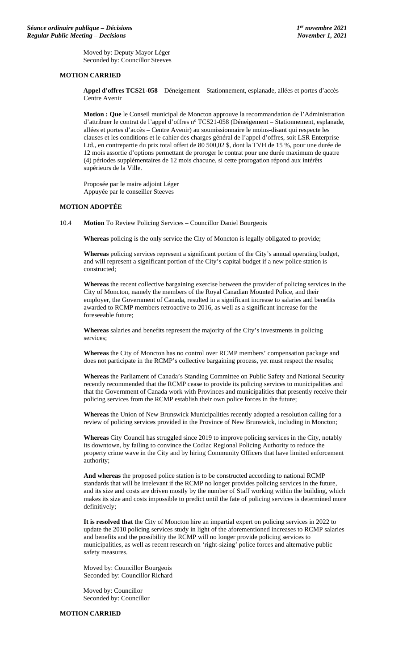Moved by: Deputy Mayor Léger Seconded by: Councillor Steeves

#### **MOTION CARRIED**

**Appel d'offres TCS21-058** – Déneigement – Stationnement, esplanade, allées et portes d'accès – Centre Avenir

**Motion : Que** le Conseil municipal de Moncton approuve la recommandation de l'Administration d'attribuer le contrat de l'appel d'offres nº TCS21-058 (Déneigement – Stationnement, esplanade, allées et portes d'accès – Centre Avenir) au soumissionnaire le moins-disant qui respecte les clauses et les conditions et le cahier des charges général de l'appel d'offres, soit LSR Enterprise Ltd., en contrepartie du prix total offert de 80 500,02 \$, dont la TVH de 15 %, pour une durée de 12 mois assortie d'options permettant de proroger le contrat pour une durée maximum de quatre (4) périodes supplémentaires de 12 mois chacune, si cette prorogation répond aux intérêts supérieurs de la Ville.

Proposée par le maire adjoint Léger Appuyée par le conseiller Steeves

### **MOTION ADOPTÉE**

10.4 **Motion** To Review Policing Services – Councillor Daniel Bourgeois

**Whereas** policing is the only service the City of Moncton is legally obligated to provide;

**Whereas** policing services represent a significant portion of the City's annual operating budget, and will represent a significant portion of the City's capital budget if a new police station is constructed;

**Whereas** the recent collective bargaining exercise between the provider of policing services in the City of Moncton, namely the members of the Royal Canadian Mounted Police, and their employer, the Government of Canada, resulted in a significant increase to salaries and benefits awarded to RCMP members retroactive to 2016, as well as a significant increase for the foreseeable future;

**Whereas** salaries and benefits represent the majority of the City's investments in policing services;

**Whereas** the City of Moncton has no control over RCMP members' compensation package and does not participate in the RCMP's collective bargaining process, yet must respect the results;

**Whereas** the Parliament of Canada's Standing Committee on Public Safety and National Security recently recommended that the RCMP cease to provide its policing services to municipalities and that the Government of Canada work with Provinces and municipalities that presently receive their policing services from the RCMP establish their own police forces in the future;

**Whereas** the Union of New Brunswick Municipalities recently adopted a resolution calling for a review of policing services provided in the Province of New Brunswick, including in Moncton;

**Whereas** City Council has struggled since 2019 to improve policing services in the City, notably its downtown, by failing to convince the Codiac Regional Policing Authority to reduce the property crime wave in the City and by hiring Community Officers that have limited enforcement authority;

**And whereas** the proposed police station is to be constructed according to national RCMP standards that will be irrelevant if the RCMP no longer provides policing services in the future, and its size and costs are driven mostly by the number of Staff working within the building, which makes its size and costs impossible to predict until the fate of policing services is determined more definitively;

**It is resolved that** the City of Moncton hire an impartial expert on policing services in 2022 to update the 2010 policing services study in light of the aforementioned increases to RCMP salaries and benefits and the possibility the RCMP will no longer provide policing services to municipalities, as well as recent research on 'right-sizing' police forces and alternative public safety measures.

Moved by: Councillor Bourgeois Seconded by: Councillor Richard

Moved by: Councillor Seconded by: Councillor

**MOTION CARRIED**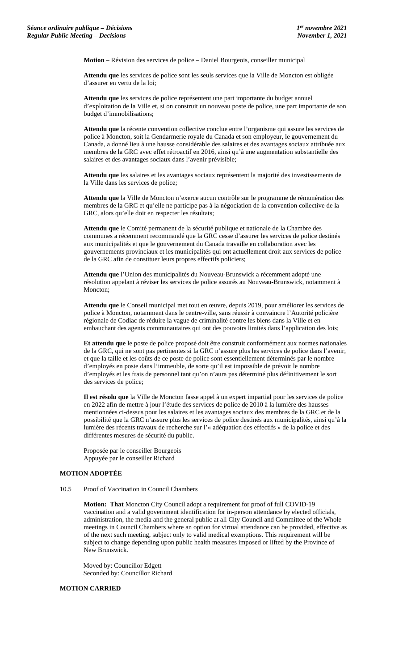**Motion** – Révision des services de police – Daniel Bourgeois, conseiller municipal

**Attendu que** les services de police sont les seuls services que la Ville de Moncton est obligée d'assurer en vertu de la loi;

**Attendu que** les services de police représentent une part importante du budget annuel d'exploitation de la Ville et, si on construit un nouveau poste de police, une part importante de son budget d'immobilisations;

**Attendu que** la récente convention collective conclue entre l'organisme qui assure les services de police à Moncton, soit la Gendarmerie royale du Canada et son employeur, le gouvernement du Canada, a donné lieu à une hausse considérable des salaires et des avantages sociaux attribuée aux membres de la GRC avec effet rétroactif en 2016, ainsi qu'à une augmentation substantielle des salaires et des avantages sociaux dans l'avenir prévisible;

**Attendu que** les salaires et les avantages sociaux représentent la majorité des investissements de la Ville dans les services de police;

**Attendu que** la Ville de Moncton n'exerce aucun contrôle sur le programme de rémunération des membres de la GRC et qu'elle ne participe pas à la négociation de la convention collective de la GRC, alors qu'elle doit en respecter les résultats;

**Attendu que** le Comité permanent de la sécurité publique et nationale de la Chambre des communes a récemment recommandé que la GRC cesse d'assurer les services de police destinés aux municipalités et que le gouvernement du Canada travaille en collaboration avec les gouvernements provinciaux et les municipalités qui ont actuellement droit aux services de police de la GRC afin de constituer leurs propres effectifs policiers;

**Attendu que** l'Union des municipalités du Nouveau-Brunswick a récemment adopté une résolution appelant à réviser les services de police assurés au Nouveau-Brunswick, notamment à Moncton:

**Attendu que** le Conseil municipal met tout en œuvre, depuis 2019, pour améliorer les services de police à Moncton, notamment dans le centre-ville, sans réussir à convaincre l'Autorité policière régionale de Codiac de réduire la vague de criminalité contre les biens dans la Ville et en embauchant des agents communautaires qui ont des pouvoirs limités dans l'application des lois;

**Et attendu que** le poste de police proposé doit être construit conformément aux normes nationales de la GRC, qui ne sont pas pertinentes si la GRC n'assure plus les services de police dans l'avenir, et que la taille et les coûts de ce poste de police sont essentiellement déterminés par le nombre d'employés en poste dans l'immeuble, de sorte qu'il est impossible de prévoir le nombre d'employés et les frais de personnel tant qu'on n'aura pas déterminé plus définitivement le sort des services de police;

**Il est résolu que** la Ville de Moncton fasse appel à un expert impartial pour les services de police en 2022 afin de mettre à jour l'étude des services de police de 2010 à la lumière des hausses mentionnées ci-dessus pour les salaires et les avantages sociaux des membres de la GRC et de la possibilité que la GRC n'assure plus les services de police destinés aux municipalités, ainsi qu'à la lumière des récents travaux de recherche sur l'« adéquation des effectifs » de la police et des différentes mesures de sécurité du public.

Proposée par le conseiller Bourgeois Appuyée par le conseiller Richard

#### **MOTION ADOPTÉE**

10.5 Proof of Vaccination in Council Chambers

**Motion: That** Moncton City Council adopt a requirement for proof of full COVID-19 vaccination and a valid government identification for in-person attendance by elected officials, administration, the media and the general public at all City Council and Committee of the Whole meetings in Council Chambers where an option for virtual attendance can be provided, effective as of the next such meeting, subject only to valid medical exemptions. This requirement will be subject to change depending upon public health measures imposed or lifted by the Province of New Brunswick.

Moved by: Councillor Edgett Seconded by: Councillor Richard

#### **MOTION CARRIED**